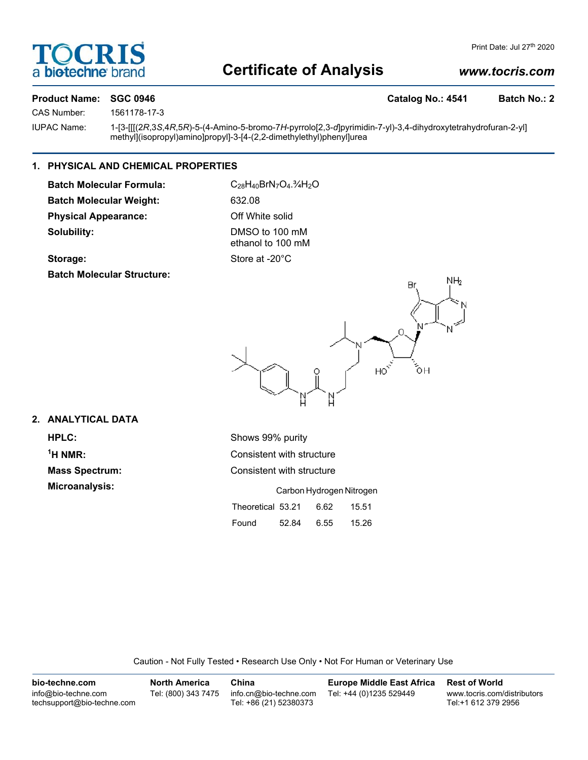# **DCR** biotechne

## **Certificate of Analysis**

## *www.tocris.com*

## **Product Name: SGC 0946 Catalog No.: 4541 Batch No.: 2**

CAS Number: 1561178-17-3

IUPAC Name: 1-[3-[[[(2*R*,3*S*,4*R*,5*R*)-5-(4-Amino-5-bromo-7*H*-pyrrolo[2,3-*d*]pyrimidin-7-yl)-3,4-dihydroxytetrahydrofuran-2-yl] methyl](isopropyl)amino]propyl]-3-[4-(2,2-dimethylethyl)phenyl]urea

## **1. PHYSICAL AND CHEMICAL PROPERTIES**

Batch Molecular Formula: C<sub>28</sub>H<sub>40</sub>BrN<sub>7</sub>O<sub>4</sub>.<sup>3</sup>/<sub>4D</sub>O **Batch Molecular Weight:** 632.08 **Physical Appearance:** Off White solid **Solubility:** DMSO to 100 mM

ethanol to 100 mM

## Storage: Store at -20°C

**Batch Molecular Structure:**



## **2. ANALYTICAL DATA**

 $<sup>1</sup>H NMR$ </sup>

**HPLC:** Shows 99% purity **Consistent with structure Mass Spectrum:** Consistent with structure **Microanalysis:** Carbon Hydrogen Nitrogen Theoretical 53.21 6.62 15.51 Found 52.84 6.55 15.26

Caution - Not Fully Tested • Research Use Only • Not For Human or Veterinary Use

| bio-techne.com                                    | <b>North America</b> | China                                            | <b>Europe Middle East Africa</b> | <b>Rest of World</b>                               |
|---------------------------------------------------|----------------------|--------------------------------------------------|----------------------------------|----------------------------------------------------|
| info@bio-techne.com<br>techsupport@bio-techne.com | Tel: (800) 343 7475  | info.cn@bio-techne.com<br>Tel: +86 (21) 52380373 | Tel: +44 (0)1235 529449          | www.tocris.com/distributors<br>Tel:+1 612 379 2956 |